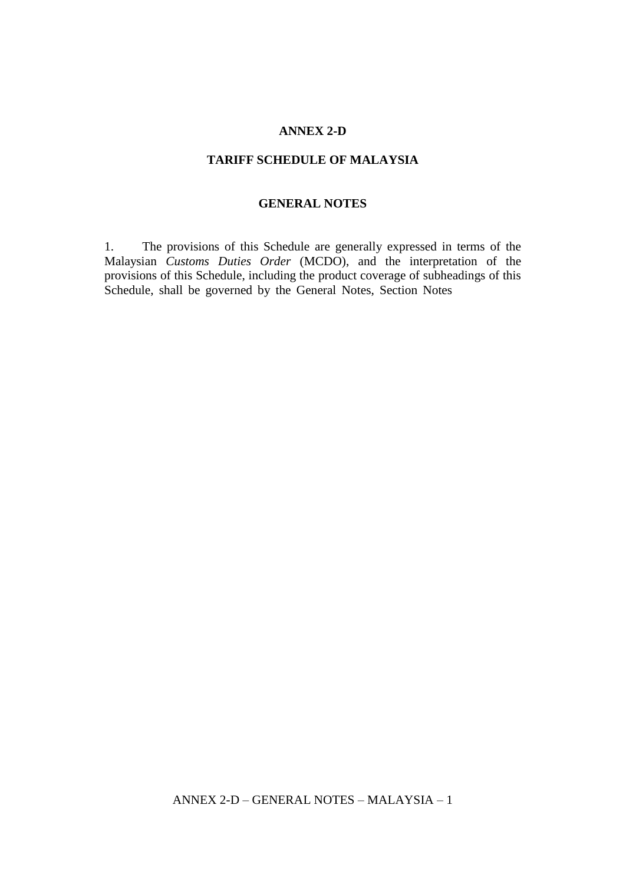## **ANNEX 2-D**

## **TARIFF SCHEDULE OF MALAYSIA**

## **GENERAL NOTES**

1. The provisions of this Schedule are generally expressed in terms of the Malaysian *Customs Duties Order* (MCDO), and the interpretation of the provisions of this Schedule, including the product coverage of subheadings of this Schedule, shall be governed by the General Notes, Section Notes